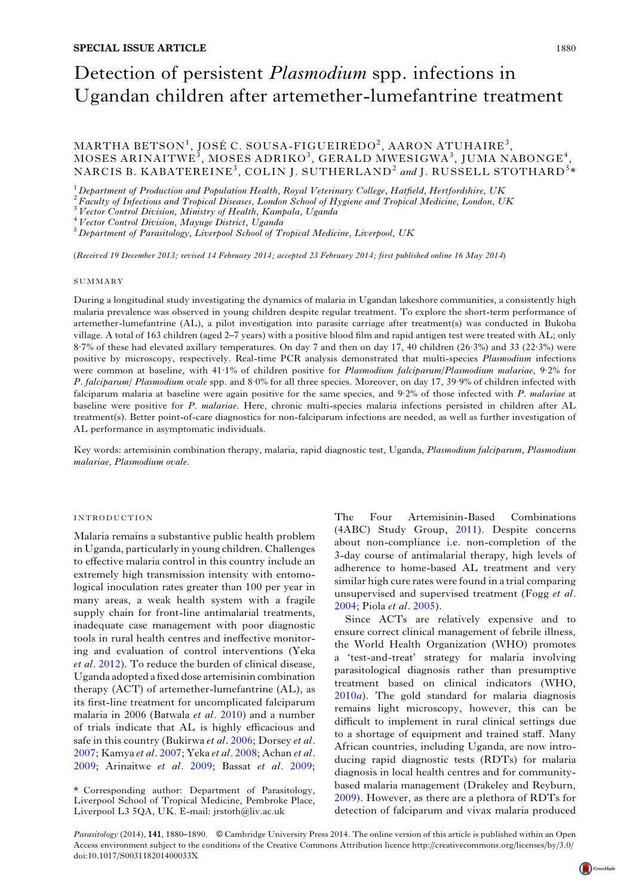# Detection of persistent *Plasmodium* spp. infections in Ugandan children after artemether-lumefantrine treatment

 $\mathrm{MARTHA}\,\,\mathrm{BETSON}^1, \,\mathrm{JOSÉ}\,\,\mathrm{C}. \,\,\mathrm{SOUSA-FIGUEIREDO}^2, \,\mathrm{AARON}\,\,\mathrm{ATUHAIRE}^3,$  ${\rm MOSES~ARINAITWE}^{\rm 3}, {\rm MOSES~ADRIKO}^{\rm 3}, {\rm GERALD~MWESIGWA}^{\rm 3}, {\rm JUMA~NABONGE}^{\rm 4},$ NARCIS B. KABATEREINE<sup>3</sup>, COLIN J. SUTHERLAND<sup>2</sup> and J. RUSSELL STOTHARD<sup>5</sup>\*

<sup>1</sup> Department of Production and Population Health, Royal Veterinary College, Hatfield, Hertfordshire, UK<br><sup>2</sup> Faculty of Infectious and Tropical Diseases, London School of Hygiene and Tropical Medicine, London, UK<br><sup>3</sup> Vec

(Received 19 December 2013; revised 14 February 2014; accepted 23 February 2014; first published online 16 May 2014)

#### SUMMARY

During a longitudinal study investigating the dynamics of malaria in Ugandan lakeshore communities, a consistently high malaria prevalence was observed in young children despite regular treatment. To explore the short-term performance of artemether-lumefantrine (AL), a pilot investigation into parasite carriage after treatment(s) was conducted in Bukoba village. A total of 163 children (aged 2–7 years) with a positive blood film and rapid antigen test were treated with AL; only 8·7% of these had elevated axillary temperatures. On day 7 and then on day 17, 40 children (26·3%) and 33 (22·3%) were positive by microscopy, respectively. Real-time PCR analysis demonstrated that multi-species Plasmodium infections were common at baseline, with 41·1% of children positive for Plasmodium falciparum/Plasmodium malariae, 9·2% for P. falciparum/ Plasmodium ovale spp. and 8·0% for all three species. Moreover, on day 17, 39·9% of children infected with falciparum malaria at baseline were again positive for the same species, and 9.2% of those infected with P. malariae at baseline were positive for P. malariae. Here, chronic multi-species malaria infections persisted in children after AL treatment(s). Better point-of-care diagnostics for non-falciparum infections are needed, as well as further investigation of AL performance in asymptomatic individuals.

Key words: artemisinin combination therapy, malaria, rapid diagnostic test, Uganda, Plasmodium falciparum, Plasmodium malariae, Plasmodium ovale.

## INTRODUCTION

Malaria remains a substantive public health problem in Uganda, particularly in young children. Challenges to effective malaria control in this country include an extremely high transmission intensity with entomological inoculation rates greater than 100 per year in many areas, a weak health system with a fragile supply chain for front-line antimalarial treatments, inadequate case management with poor diagnostic tools in rural health centres and ineffective monitoring and evaluation of control interventions (Yeka et al. [2012](#page-10-0)). To reduce the burden of clinical disease, Uganda adopted a fixed dose artemisinin combination therapy (ACT) of artemether-lumefantrine (AL), as its first-line treatment for uncomplicated falciparum malaria in 2006 (Batwala et al. [2010\)](#page-9-0) and a number of trials indicate that AL is highly efficacious and safe in this country (Bukirwa et al. [2006;](#page-9-0) Dorsey et al. [2007](#page-9-0); Kamya et al. [2007;](#page-10-0) Yeka et al. [2008;](#page-10-0) Achan et al. [2009](#page-9-0); Arinaitwe et al. [2009;](#page-9-0) Bassat et al. [2009](#page-9-0); The Four Artemisinin-Based Combinations (4ABC) Study Group, [2011](#page-10-0)). Despite concerns about non-compliance i.e. non-completion of the 3-day course of antimalarial therapy, high levels of adherence to home-based AL treatment and very similar high cure rates were found in a trial comparing unsupervised and supervised treatment (Fogg et al. [2004](#page-10-0); Piola et al. [2005](#page-10-0)).

Since ACTs are relatively expensive and to ensure correct clinical management of febrile illness, the World Health Organization (WHO) promotes a 'test-and-treat' strategy for malaria involving parasitological diagnosis rather than presumptive treatment based on clinical indicators (WHO,  $2010a$  $2010a$ ). The gold standard for malaria diagnosis remains light microscopy, however, this can be difficult to implement in rural clinical settings due to a shortage of equipment and trained staff. Many African countries, including Uganda, are now introducing rapid diagnostic tests (RDTs) for malaria diagnosis in local health centres and for communitybased malaria management (Drakeley and Reyburn, [2009](#page-9-0)). However, as there are a plethora of RDTs for detection of falciparum and vivax malaria produced

Parasitology (2014), 141, 1880–1890. *©* Cambridge University Press 2014. The online version of this article is published within an Open Access environment subject to the conditions of the Creative Commons Attribution licence http://creativecommons.org/licenses/by/3.0/ doi:10.1017/S003118201400033X

<sup>\*</sup> Corresponding author: Department of Parasitology, Liverpool School of Tropical Medicine, Pembroke Place, Liverpool L3 5QA, UK. E-mail: jrstoth@liv.ac.uk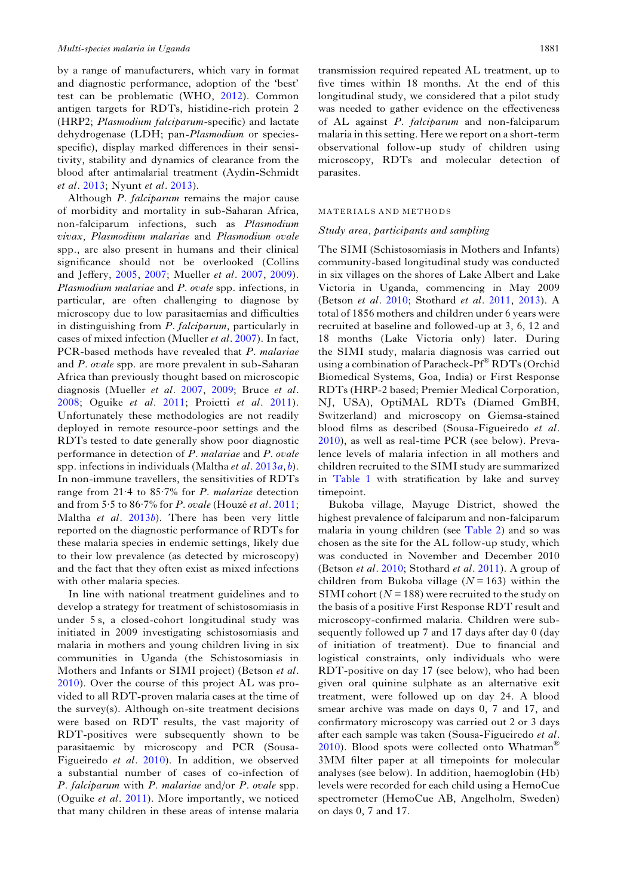by a range of manufacturers, which vary in format and diagnostic performance, adoption of the 'best' test can be problematic (WHO, [2012](#page-10-0)). Common antigen targets for RDTs, histidine-rich protein 2 (HRP2; Plasmodium falciparum-specific) and lactate dehydrogenase (LDH; pan-Plasmodium or speciesspecific), display marked differences in their sensitivity, stability and dynamics of clearance from the blood after antimalarial treatment (Aydin-Schmidt et al. [2013;](#page-9-0) Nyunt et al. [2013\)](#page-10-0).

Although P. falciparum remains the major cause of morbidity and mortality in sub-Saharan Africa, non-falciparum infections, such as Plasmodium vivax, Plasmodium malariae and Plasmodium ovale spp., are also present in humans and their clinical significance should not be overlooked (Collins and Jeffery, [2005](#page-9-0), [2007;](#page-9-0) Mueller et al. [2007](#page-10-0), [2009\)](#page-10-0). Plasmodium malariae and P. ovale spp. infections, in particular, are often challenging to diagnose by microscopy due to low parasitaemias and difficulties in distinguishing from P. falciparum, particularly in cases of mixed infection (Mueller et al. [2007\)](#page-10-0). In fact, PCR-based methods have revealed that P. malariae and P. ovale spp. are more prevalent in sub-Saharan Africa than previously thought based on microscopic diagnosis (Mueller et al. [2007,](#page-10-0) [2009](#page-10-0); Bruce et al. [2008;](#page-9-0) Oguike et al. [2011](#page-10-0); Proietti et al. [2011\)](#page-10-0). Unfortunately these methodologies are not readily deployed in remote resource-poor settings and the RDTs tested to date generally show poor diagnostic performance in detection of P. malariae and P. ovale spp. infections in individuals (Maltha *et al.* [2013](#page-10-0) $a$ ,  $b$ ). In non-immune travellers, the sensitivities of RDTs range from 21·4 to 85·7% for P. malariae detection and from 5·5 to 86·7% for P. ovale (Houzé et al. [2011](#page-10-0); Maltha et al. [2013](#page-10-0)b). There has been very little reported on the diagnostic performance of RDTs for these malaria species in endemic settings, likely due to their low prevalence (as detected by microscopy) and the fact that they often exist as mixed infections with other malaria species.

In line with national treatment guidelines and to develop a strategy for treatment of schistosomiasis in under 5 s, a closed-cohort longitudinal study was initiated in 2009 investigating schistosomiasis and malaria in mothers and young children living in six communities in Uganda (the Schistosomiasis in Mothers and Infants or SIMI project) (Betson et al. [2010\)](#page-9-0). Over the course of this project AL was provided to all RDT-proven malaria cases at the time of the survey(s). Although on-site treatment decisions were based on RDT results, the vast majority of RDT-positives were subsequently shown to be parasitaemic by microscopy and PCR (Sousa-Figueiredo et al. [2010](#page-10-0)). In addition, we observed a substantial number of cases of co-infection of P. falciparum with P. malariae and/or P. ovale spp. (Oguike et al. [2011](#page-10-0)). More importantly, we noticed that many children in these areas of intense malaria

transmission required repeated AL treatment, up to five times within 18 months. At the end of this longitudinal study, we considered that a pilot study was needed to gather evidence on the effectiveness of AL against P. falciparum and non-falciparum malaria in this setting. Here we report on a short-term observational follow-up study of children using microscopy, RDTs and molecular detection of parasites.

#### MATERIALS AND METHODS

## Study area, participants and sampling

The SIMI (Schistosomiasis in Mothers and Infants) community-based longitudinal study was conducted in six villages on the shores of Lake Albert and Lake Victoria in Uganda, commencing in May 2009 (Betson et al. [2010;](#page-9-0) Stothard et al. [2011](#page-10-0), [2013](#page-10-0)). A total of 1856 mothers and children under 6 years were recruited at baseline and followed-up at 3, 6, 12 and 18 months (Lake Victoria only) later. During the SIMI study, malaria diagnosis was carried out using a combination of Paracheck-Pf® RDTs (Orchid Biomedical Systems, Goa, India) or First Response RDTs (HRP-2 based; Premier Medical Corporation, NJ, USA), OptiMAL RDTs (Diamed GmBH, Switzerland) and microscopy on Giemsa-stained blood films as described (Sousa-Figueiredo et al. [2010\)](#page-10-0), as well as real-time PCR (see below). Prevalence levels of malaria infection in all mothers and children recruited to the SIMI study are summarized in [Table 1](#page-2-0) with stratification by lake and survey timepoint.

Bukoba village, Mayuge District, showed the highest prevalence of falciparum and non-falciparum malaria in young children (see [Table 2](#page-2-0)) and so was chosen as the site for the AL follow-up study, which was conducted in November and December 2010 (Betson et al. [2010](#page-9-0); Stothard et al. [2011](#page-10-0)). A group of children from Bukoba village ( $N = 163$ ) within the SIMI cohort ( $N = 188$ ) were recruited to the study on the basis of a positive First Response RDT result and microscopy-confirmed malaria. Children were subsequently followed up 7 and 17 days after day 0 (day of initiation of treatment). Due to financial and logistical constraints, only individuals who were RDT-positive on day 17 (see below), who had been given oral quinine sulphate as an alternative exit treatment, were followed up on day 24. A blood smear archive was made on days 0, 7 and 17, and confirmatory microscopy was carried out 2 or 3 days after each sample was taken (Sousa-Figueiredo et al. [2010\)](#page-10-0). Blood spots were collected onto Whatman<sup>®</sup> 3MM filter paper at all timepoints for molecular analyses (see below). In addition, haemoglobin (Hb) levels were recorded for each child using a HemoCue spectrometer (HemoCue AB, Angelholm, Sweden) on days 0, 7 and 17.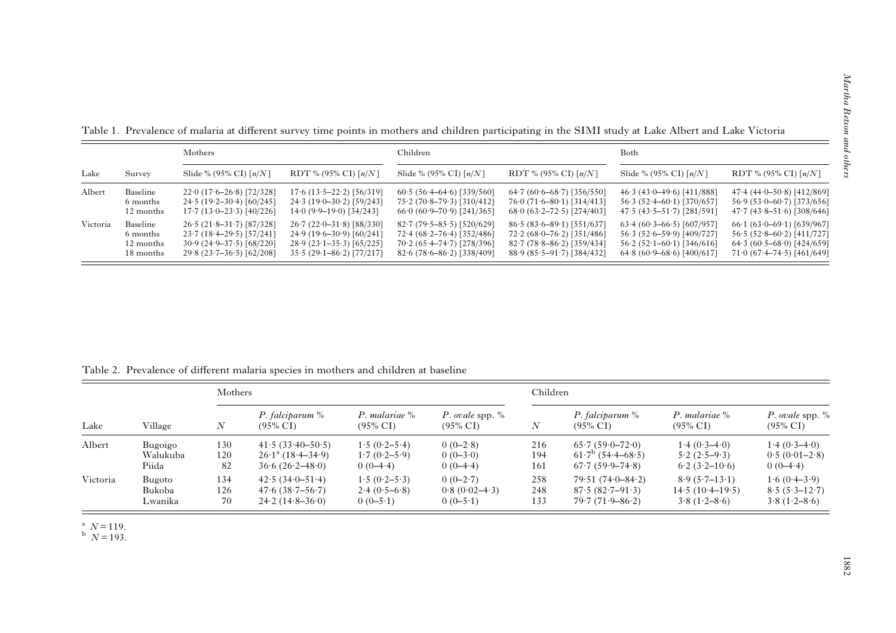| Lake     | Survey    | Mothers                              |                                    | Children                             |                                    | Both                                 |                                    |  |
|----------|-----------|--------------------------------------|------------------------------------|--------------------------------------|------------------------------------|--------------------------------------|------------------------------------|--|
|          |           | Slide % (95% CI) $\lceil n/N \rceil$ | RDT % (95% CI) $\lceil n/N \rceil$ | Slide % (95% CI) $\lceil n/N \rceil$ | RDT % (95% CI) $\lceil n/N \rceil$ | Slide % (95% CI) $\lceil n/N \rceil$ | RDT % (95% CI) $\lceil n/N \rceil$ |  |
| Albert   | Baseline  | $22.0(17.6-26.8)$ [72/328]           | $17.6$ $(13.5-22.2)$ $[56/319]$    | $60.5(56.4-64.6)[339/560]$           | $64.7(60.6-68.7)$ [356/550]        | $46.3(43.0-49.6)[411/888]$           | $47.4(44.0 - 50.8)$ [412/869]      |  |
|          | 6 months  | $24.5(19.2-30.4)[60/245]$            | $24.3(19.0-30.2)[59/243]$          | $75.2(70.8-79.3)$ [310/412]          | $76.0(71.6-80.1)[314/413]$         | $56.3(52.4 - 60.1)$ [370/657]        | $56.9(53.0-60.7)[373/656]$         |  |
|          | 12 months | $17.7(13.0-23.3)[40/226]$            | $14.0 (9.9 - 19.0) [34/243]$       | $660(60.9-70.9)$ [241/365]           | $68.0(63.2 - 72.5)$ [274/403]      | $47.5(43.5 - 51.7)$ [281/591]        | $47.7 (43.8 - 51.6) [308/646]$     |  |
| Victoria | Baseline  | $26.5(21.8-31.7)[87/328]$            | $26.7(22.0-31.8)$ [88/330]         | $82.7(79.5-85.5)[520/629]$           | $86.5(83.6 - 89.1)$ [551/637]      | $63.4(60.3-66.5)[607/957]$           | $66.1(63.0-69.1)[639/967]$         |  |
|          | 6 months  | $23.7(18.4-29.5)$ [57/241]           | $24.9(19.6-30.9)[60/241]$          | $72.4(68.2 - 76.4)$ [352/486]        | $72.2(68.0 - 76.2)$ [351/486]      | $56.3(52.6-59.9)$ [409/727]          | $56.5(52.8-60.2)[411/727]$         |  |
|          | 12 months | $30.9(24.9 - 37.5)$ [68/220]         | $28.9(23.1-35.3)$ [65/225]         | $70.2(65.4-74.7)[278/396]$           | $82.7(78.8 - 86.2)$ [359/434]      | $56.2(52.1-60.1)[346/616]$           | $64.3(60.5-68.0)$ [424/659]        |  |
|          | 18 months | $29.8(23.7-36.5)[62/208]$            | $35.5(29.1 - 86.2)$ [77/217]       | $82.6(78.6-86.2)[338/409]$           | $88.9(85.5-91.7)$ [384/432]        | $64.8(60.9 - 68.6)$ [400/617]        | $71.0(67.4 - 74.5)$ [461/649]      |  |

<span id="page-2-0"></span>Table 1. Prevalence of malaria at different survey time points in mothers and children participating in the SIMI study at Lake Albert and Lake Victoria

Table 2. Prevalence of different malaria species in mothers and children at baseline

| Lake     | Village  |                  | Mothers                                   |                                         |                                           | Children |                                           |                                         |                                           |
|----------|----------|------------------|-------------------------------------------|-----------------------------------------|-------------------------------------------|----------|-------------------------------------------|-----------------------------------------|-------------------------------------------|
|          |          | $\boldsymbol{N}$ | P. falciparum $\%$<br>$(95\% \text{ CI})$ | P. malariae $\%$<br>$(95\% \text{ CI})$ | P. ovale spp. $\%$<br>$(95\% \text{ CI})$ | N        | P. falciparum $\%$<br>$(95\% \text{ CI})$ | P. malariae $\%$<br>$(95\% \text{ CI})$ | P. ovale spp. $\%$<br>$(95\% \text{ CI})$ |
| Albert   | Bugoigo  | 130              | $41.5(33.40 - 50.5)$                      | $1.5(0.2 - 5.4)$                        | $0(0-2.8)$                                | 216      | $65.7(59.0 - 72.0)$                       | $1.4(0.3-4.0)$                          | $1.4(0.3-4.0)$                            |
|          | Walukuba | 120              | $26.1^{\circ}$ (18.4-34.9)                | $1.7(0.2 - 5.9)$                        | $0(0-3.0)$                                | 194      | $61.7^{\circ}$ (54.4–68.5)                | $5.2(2.5-9.3)$                          | $0.5(0.01-2.8)$                           |
|          | Piida    | 82               | $36.6(26.2-48.0)$                         | $0(0-4.4)$                              | $0(0-4.4)$                                | 161      | $67.7(59.9-74.8)$                         | $6.2(3.2-10.6)$                         | $0(0-4.4)$                                |
| Victoria | Bugoto   | 134              | $42.5(34.0-51.4)$                         | $1.5(0.2 - 5.3)$                        | $0(0-2.7)$                                | 258      | $79.51(74.0-84.2)$                        | $8.9(5.7-13.1)$                         | $1.6(0.4-3.9)$                            |
|          | Bukoba   | 126              | $47.6(38.7 - 56.7)$                       | $2.4(0.5-6.8)$                          | $0.8(0.02 - 4.3)$                         | 248      | $87.5(82.7-91.3)$                         | $14.5(10.4-19.5)$                       | $8.5(5.3-12.7)$                           |
|          | Lwanika  | 70               | $24.2(14.8-36.0)$                         | $0(0-5.1)$                              | $0(0-5.1)$                                | 133      | $79.7(71.9-86.2)$                         | $3.8(1.2 - 8.6)$                        | $3.8(1.2 - 8.6)$                          |

 $N = 119$ .<br>  $N = 193$ .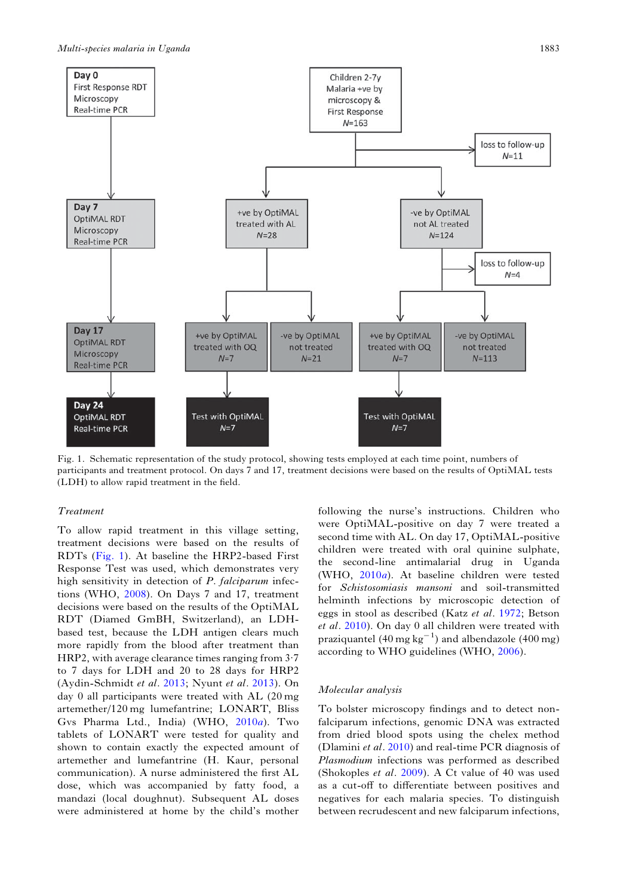

Fig. 1. Schematic representation of the study protocol, showing tests employed at each time point, numbers of participants and treatment protocol. On days 7 and 17, treatment decisions were based on the results of OptiMAL tests (LDH) to allow rapid treatment in the field.

# Treatment

To allow rapid treatment in this village setting, treatment decisions were based on the results of RDTs (Fig. 1). At baseline the HRP2-based First Response Test was used, which demonstrates very high sensitivity in detection of P. falciparum infections (WHO, [2008](#page-10-0)). On Days 7 and 17, treatment decisions were based on the results of the OptiMAL RDT (Diamed GmBH, Switzerland), an LDHbased test, because the LDH antigen clears much more rapidly from the blood after treatment than HRP2, with average clearance times ranging from 3·7 to 7 days for LDH and 20 to 28 days for HRP2 (Aydin-Schmidt et al. [2013](#page-9-0); Nyunt et al. [2013\)](#page-10-0). On day 0 all participants were treated with AL (20 mg artemether/120 mg lumefantrine; LONART, Bliss Gvs Pharma Ltd., India) (WHO, [2010](#page-10-0)a). Two tablets of LONART were tested for quality and shown to contain exactly the expected amount of artemether and lumefantrine (H. Kaur, personal communication). A nurse administered the first AL dose, which was accompanied by fatty food, a mandazi (local doughnut). Subsequent AL doses were administered at home by the child's mother

following the nurse's instructions. Children who were OptiMAL-positive on day 7 were treated a second time with AL. On day 17, OptiMAL-positive children were treated with oral quinine sulphate, the second-line antimalarial drug in Uganda (WHO, [2010](#page-10-0)a). At baseline children were tested for Schistosomiasis mansoni and soil-transmitted helminth infections by microscopic detection of eggs in stool as described (Katz et al. [1972;](#page-10-0) Betson et al. [2010\)](#page-9-0). On day 0 all children were treated with praziquantel (40 mg  $\text{kg}^{-1}$ ) and albendazole (400 mg) according to WHO guidelines (WHO, [2006\)](#page-10-0).

### Molecular analysis

To bolster microscopy findings and to detect nonfalciparum infections, genomic DNA was extracted from dried blood spots using the chelex method (Dlamini et al. [2010](#page-9-0)) and real-time PCR diagnosis of Plasmodium infections was performed as described (Shokoples et al. [2009\)](#page-10-0). A Ct value of 40 was used as a cut-off to differentiate between positives and negatives for each malaria species. To distinguish between recrudescent and new falciparum infections,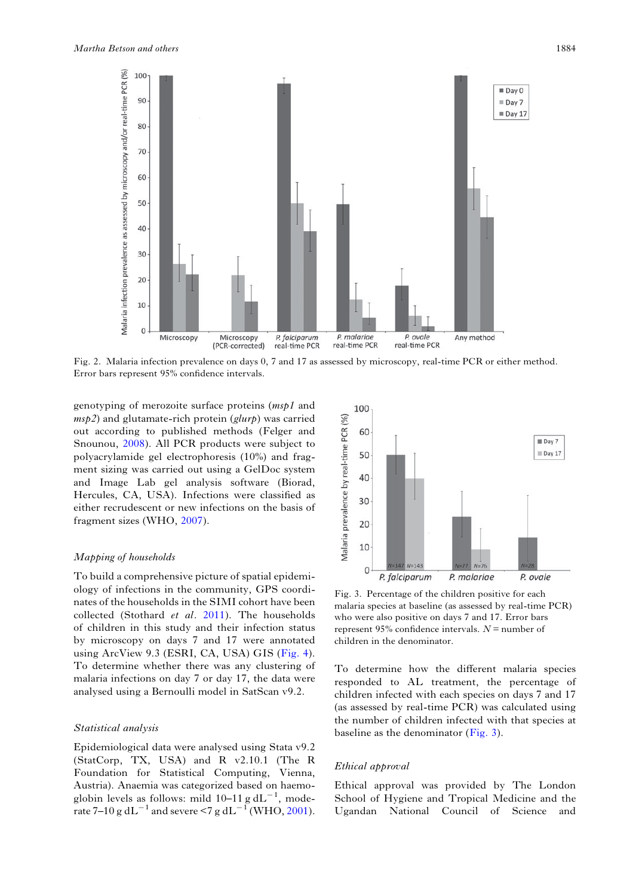<span id="page-4-0"></span>

Fig. 2. Malaria infection prevalence on days 0, 7 and 17 as assessed by microscopy, real-time PCR or either method. Error bars represent 95% confidence intervals.

genotyping of merozoite surface proteins (msp1 and  $msp2$ ) and glutamate-rich protein (glurp) was carried out according to published methods (Felger and Snounou, [2008](#page-9-0)). All PCR products were subject to polyacrylamide gel electrophoresis (10%) and fragment sizing was carried out using a GelDoc system and Image Lab gel analysis software (Biorad, Hercules, CA, USA). Infections were classified as either recrudescent or new infections on the basis of fragment sizes (WHO, [2007\)](#page-10-0).

# Mapping of households

To build a comprehensive picture of spatial epidemiology of infections in the community, GPS coordinates of the households in the SIMI cohort have been collected (Stothard et al. [2011\)](#page-10-0). The households of children in this study and their infection status by microscopy on days 7 and 17 were annotated using ArcView 9.3 (ESRI, CA, USA) GIS ([Fig. 4\)](#page-5-0). To determine whether there was any clustering of malaria infections on day 7 or day 17, the data were analysed using a Bernoulli model in SatScan v9.2.

# Statistical analysis

Epidemiological data were analysed using Stata v9.2 (StatCorp, TX, USA) and R v2.10.1 (The R Foundation for Statistical Computing, Vienna, Austria). Anaemia was categorized based on haemoglobin levels as follows: mild  $10-11$  g dL<sup>-1</sup>, mode-rate 7–10 g dL<sup>-1</sup> and severe <7 g dL<sup>-1</sup> (WHO, [2001](#page-10-0)).



Fig. 3. Percentage of the children positive for each malaria species at baseline (as assessed by real-time PCR) who were also positive on days 7 and 17. Error bars represent 95% confidence intervals.  $N =$  number of children in the denominator.

To determine how the different malaria species responded to AL treatment, the percentage of children infected with each species on days 7 and 17 (as assessed by real-time PCR) was calculated using the number of children infected with that species at baseline as the denominator (Fig. 3).

## Ethical approval

Ethical approval was provided by The London School of Hygiene and Tropical Medicine and the Ugandan National Council of Science and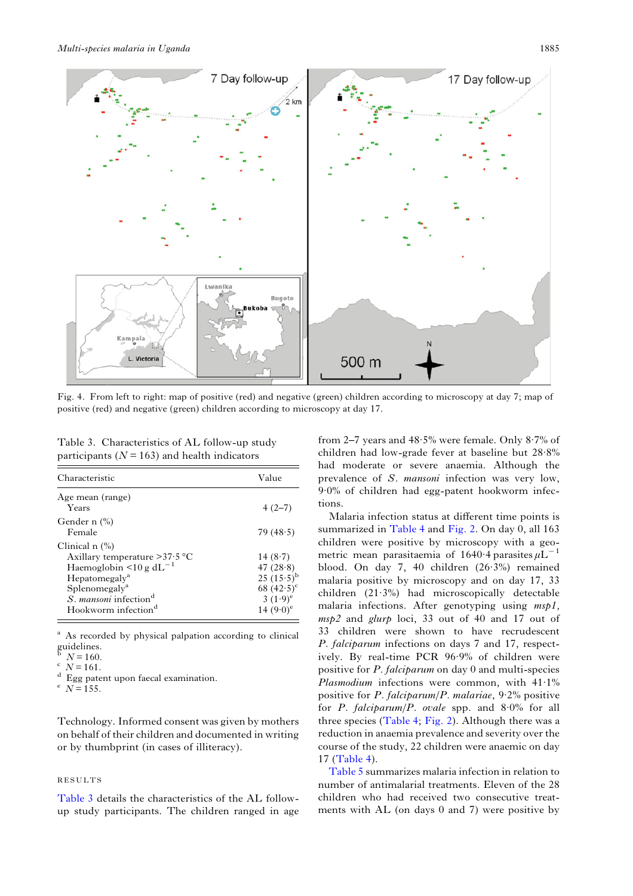<span id="page-5-0"></span>

Fig. 4. From left to right: map of positive (red) and negative (green) children according to microscopy at day 7; map of positive (red) and negative (green) children according to microscopy at day 17.

Table 3. Characteristics of AL follow-up study participants ( $N = 163$ ) and health indicators

| Characteristic                                                                                                                                                                                                                                     | Value                                                                                           |
|----------------------------------------------------------------------------------------------------------------------------------------------------------------------------------------------------------------------------------------------------|-------------------------------------------------------------------------------------------------|
| Age mean (range)<br>Years                                                                                                                                                                                                                          | $4(2-7)$                                                                                        |
| Gender n $\left(\%\right)$<br>Female                                                                                                                                                                                                               | 79(48.5)                                                                                        |
| Clinical $n$ $\left(\frac{9}{6}\right)$<br>Axillary temperature $>37.5$ °C<br>Haemoglobin <10 g dL <sup>-1</sup><br>Hepatomegaly <sup>a</sup><br>Splenomegaly <sup>a</sup><br>S. mansoni infection <sup>d</sup><br>Hookworm infection <sup>d</sup> | 14(8.7)<br>47 $(28.8)$<br>25 $(15.5)^{b}$<br>68 $(42.5)^{\circ}$<br>3 $(1.9)^e$<br>14 $(9.0)^e$ |

<sup>a</sup> As recorded by physical palpation according to clinical guidelines.<br> $N = 160$ .

 $\int_{a}^{c}$  N = 161.<br>d Egg patent upon faecal examination.<br>e  $N = 155$ .

Technology. Informed consent was given by mothers on behalf of their children and documented in writing or by thumbprint (in cases of illiteracy).

# RESULTS

Table 3 details the characteristics of the AL followup study participants. The children ranged in age from 2–7 years and 48·5% were female. Only 8·7% of children had low-grade fever at baseline but 28·8% had moderate or severe anaemia. Although the prevalence of S. mansoni infection was very low, 9·0% of children had egg-patent hookworm infections.

Malaria infection status at different time points is summarized in [Table 4](#page-6-0) and [Fig. 2.](#page-4-0) On day 0, all 163 children were positive by microscopy with a geometric mean parasitaemia of 1640 $\cdot$ 4 parasites  $\mu L^{-1}$ blood. On day 7, 40 children (26·3%) remained malaria positive by microscopy and on day 17, 33 children (21·3%) had microscopically detectable malaria infections. After genotyping using msp1, msp2 and glurp loci, 33 out of 40 and 17 out of 33 children were shown to have recrudescent P. falciparum infections on days 7 and 17, respectively. By real-time PCR 96·9% of children were positive for P. falciparum on day 0 and multi-species *Plasmodium* infections were common, with  $41.1\%$ positive for P. falciparum/P. malariae, 9·2% positive for P. falciparum/P. ovale spp. and  $8.0\%$  for all three species ([Table 4](#page-6-0); [Fig. 2\)](#page-4-0). Although there was a reduction in anaemia prevalence and severity over the course of the study, 22 children were anaemic on day 17 ([Table 4](#page-6-0)).

[Table 5](#page-7-0) summarizes malaria infection in relation to number of antimalarial treatments. Eleven of the 28 children who had received two consecutive treatments with AL (on days 0 and 7) were positive by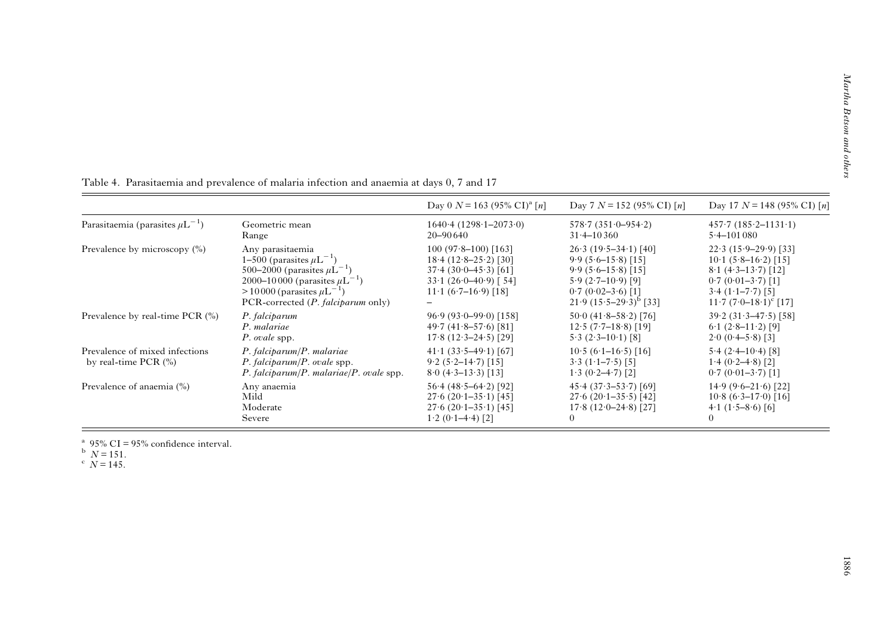|                                                            |                                                                                                                                                                                                            | Day 0 $N = 163$ (95% CI) <sup>a</sup> [n]                                                                                                          | Day 7 $N = 152$ (95% CI) [n]                                                                                                                         | Day 17 $N = 148$ (95% CI) [n]                                                                                                                            |
|------------------------------------------------------------|------------------------------------------------------------------------------------------------------------------------------------------------------------------------------------------------------------|----------------------------------------------------------------------------------------------------------------------------------------------------|------------------------------------------------------------------------------------------------------------------------------------------------------|----------------------------------------------------------------------------------------------------------------------------------------------------------|
| Parasitaemia (parasites $\mu L^{-1}$ )                     | Geometric mean                                                                                                                                                                                             | $1640.4(1298.1-2073.0)$                                                                                                                            | $578.7(351.0-954.2)$                                                                                                                                 | $457.7(185.2 - 1131.1)$                                                                                                                                  |
|                                                            | Range                                                                                                                                                                                                      | $20 - 90640$                                                                                                                                       | $31.4 - 10360$                                                                                                                                       | $5.4 - 101080$                                                                                                                                           |
| Prevalence by microscopy $\binom{0}{0}$                    | Any parasitaemia<br>1–500 (parasites $\mu L^{-1}$ )<br>500–2000 (parasites $\mu L^{-1}$ )<br>2000–10000 (parasites $\mu L^{-1}$ )<br>$>10000$ (parasites $\mu L^{-}$<br>PCR-corrected (P. falciparum only) | $100(97.8-100)$ [163]<br>$18.4(12.8-25.2)[30]$<br>$37.4(30.0-45.3)[61]$<br>$33.1 (26.0 - 40.9)$ [54]<br>$11 \cdot 1 (6 \cdot 7 - 16 \cdot 9)$ [18] | $26.3(19.5-34.1)[40]$<br>$9.9(5.6-15.8)$ [15]<br>$9.9(5.6-15.8)$ [15]<br>$5.9(2.7-10.9)$ [9]<br>$0.7(0.02-3.6)$ [1]<br>$21.9 (15.5 - 29.3)^{b} [33]$ | $22.3(15.9-29.9)$ [33]<br>$10.1 (5.8 - 16.2) [15]$<br>$8.1$ (4.3–13.7) [12]<br>$0.7(0.01-3.7)$ [1]<br>$3.4(1.1-7.7)$ [5]<br>$11.7 (7.0 - 18.1)^{c}$ [17] |
| Prevalence by real-time PCR $(\% )$                        | P. falciparum                                                                                                                                                                                              | $96.9(93.0 - 99.0)$ [158]                                                                                                                          | $50.0 (41.8 - 58.2)$ [76]                                                                                                                            | $39.2(31.3-47.5)$ [58]                                                                                                                                   |
|                                                            | P. malariae                                                                                                                                                                                                | $49.7(41.8 - 57.6)$ [81]                                                                                                                           | $12.5(7.7-18.8)$ [19]                                                                                                                                | $6.1(2.8-11.2)$ [9]                                                                                                                                      |
|                                                            | P. ovale spp.                                                                                                                                                                                              | $17.8(12.3-24.5)$ [29]                                                                                                                             | $5.3(2.3-10.1)$ [8]                                                                                                                                  | $2.0(0.4-5.8)$ [3]                                                                                                                                       |
| Prevalence of mixed infections<br>by real-time PCR $(\% )$ | $P.$ falciparum/ $P.$ malariae<br>$P. falciparum/P. ovale$ spp.<br>$P. falciparum/P. malariae/P. ovale spp.$                                                                                               | $41.1(33.5-49.1)[67]$<br>$9.2(5.2 - 14.7)$ [15]<br>$8.0$ (4.3–13.3) [13]                                                                           | $10.5(6.1-16.5)$ [16]<br>$3.3(1.1-7.5)$ [5]<br>$1.3(0.2-4.7)$ [2]                                                                                    | $5.4(2.4-10.4)$ [8]<br>$1.4(0.2-4.8)$ [2]<br>$0.7 (0.01 - 3.7)$ [1]                                                                                      |
| Prevalence of anaemia $(\% )$                              | Any anaemia                                                                                                                                                                                                | $56.4(48.5-64.2)$ [92]                                                                                                                             | $45.4(37.3-53.7)[69]$                                                                                                                                | $14.9(9.6-21.6)$ [22]                                                                                                                                    |
|                                                            | Mild                                                                                                                                                                                                       | $27.6(20.1-35.1)$ [45]                                                                                                                             | $27.6(20.1-35.5)[42]$                                                                                                                                | $10.8(6.3-17.0)$ [16]                                                                                                                                    |
|                                                            | Moderate                                                                                                                                                                                                   | $27.6$ (20.1–35.1) [45]                                                                                                                            | $17.8(12.0 - 24.8)$ [27]                                                                                                                             | $4.1(1.5-8.6)[6]$                                                                                                                                        |
|                                                            | Severe                                                                                                                                                                                                     | $1.2(0.1-4.4)$ [2]                                                                                                                                 | $\theta$                                                                                                                                             | $\left($                                                                                                                                                 |

<span id="page-6-0"></span>Table 4. Parasitaemia and prevalence of malaria infection and anaemia at days 0, 7 and 17

<sup>a</sup> 95% CI = 95% confidence interval.<br>
<sup>b</sup>  $N = 151$ .<br>
<sup>c</sup>  $N = 145$ .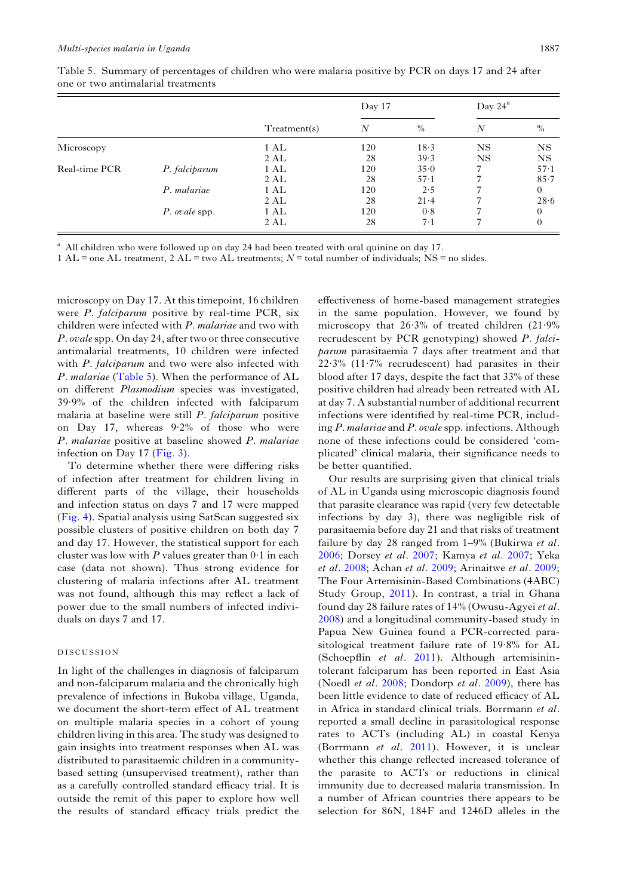|               |               |                    | Day 17 |          | Day $24^a$     |                |
|---------------|---------------|--------------------|--------|----------|----------------|----------------|
|               |               | Treatment(s)       | N      | $\%$     | $\overline{N}$ | $\%$           |
| Microscopy    |               | 1 AL               | 120    | 18.3     | NS             | NS             |
|               |               | 2 AL               | 28     | 39.3     | NS             | <b>NS</b>      |
| Real-time PCR | P. falciparum | $1 \, \mathrm{AL}$ | 120    | 35.0     |                | $57-1$         |
|               |               | 2 AL               | 28     | $57-1$   |                | 85.7           |
|               | P. malariae   | 1 AL               | 120    | 2.5      |                | $\overline{0}$ |
|               |               | 2 AL               | 28     | $21 - 4$ |                | 28.6           |
|               | P. ovale spp. | 1 AL               | 120    | 0.8      |                | $\Omega$       |
|               |               | 2 AL               | 28     | 7.1      |                | 0              |

<span id="page-7-0"></span>Table 5. Summary of percentages of children who were malaria positive by PCR on days 17 and 24 after one or two antimalarial treatments

<sup>a</sup> All children who were followed up on day 24 had been treated with oral quinine on day 17.

1 AL = one AL treatment, 2 AL = two AL treatments;  $N =$  total number of individuals; NS = no slides.

microscopy on Day 17. At this timepoint, 16 children were *P. falciparum* positive by real-time PCR, six children were infected with P. malariae and two with P. ovalespp. On day 24, after two or three consecutive antimalarial treatments, 10 children were infected with P. falciparum and two were also infected with P. malariae (Table 5). When the performance of AL on different Plasmodium species was investigated, 39·9% of the children infected with falciparum malaria at baseline were still P. falciparum positive on Day 17, whereas 9·2% of those who were P. malariae positive at baseline showed P. malariae infection on Day 17 [\(Fig. 3](#page-4-0)).

To determine whether there were differing risks of infection after treatment for children living in different parts of the village, their households and infection status on days 7 and 17 were mapped [\(Fig. 4](#page-5-0)). Spatial analysis using SatScan suggested six possible clusters of positive children on both day 7 and day 17. However, the statistical support for each cluster was low with  $P$  values greater than  $0.1$  in each case (data not shown). Thus strong evidence for clustering of malaria infections after AL treatment was not found, although this may reflect a lack of power due to the small numbers of infected individuals on days 7 and 17.

### DISCUSSION

In light of the challenges in diagnosis of falciparum and non-falciparum malaria and the chronically high prevalence of infections in Bukoba village, Uganda, we document the short-term effect of AL treatment on multiple malaria species in a cohort of young children living in this area. The study was designed to gain insights into treatment responses when AL was distributed to parasitaemic children in a communitybased setting (unsupervised treatment), rather than as a carefully controlled standard efficacy trial. It is outside the remit of this paper to explore how well the results of standard efficacy trials predict the

effectiveness of home-based management strategies in the same population. However, we found by microscopy that 26·3% of treated children (21·9% recrudescent by PCR genotyping) showed P. falciparum parasitaemia 7 days after treatment and that  $22.3\%$  (11.7% recrudescent) had parasites in their blood after 17 days, despite the fact that 33% of these positive children had already been retreated with AL at day 7. A substantial number of additional recurrent infections were identified by real-time PCR, including P. malariae and P. ovalespp. infections. Although none of these infections could be considered 'complicated' clinical malaria, their significance needs to be better quantified.

Our results are surprising given that clinical trials of AL in Uganda using microscopic diagnosis found that parasite clearance was rapid (very few detectable infections by day 3), there was negligible risk of parasitaemia before day 21 and that risks of treatment failure by day 28 ranged from 1–9% (Bukirwa *et al.* [2006;](#page-9-0) Dorsey et al. [2007;](#page-9-0) Kamya et al. [2007;](#page-10-0) Yeka et al. [2008](#page-10-0); Achan et al. [2009](#page-9-0); Arinaitwe et al. [2009](#page-9-0); The Four Artemisinin-Based Combinations (4ABC) Study Group, [2011\)](#page-10-0). In contrast, a trial in Ghana found day 28 failure rates of 14% (Owusu-Agyei et al. [2008\)](#page-10-0) and a longitudinal community-based study in Papua New Guinea found a PCR-corrected parasitological treatment failure rate of 19·8% for AL (Schoepflin et al. [2011](#page-10-0)). Although artemisinintolerant falciparum has been reported in East Asia (Noedl et al. [2008;](#page-10-0) Dondorp et al. [2009](#page-9-0)), there has been little evidence to date of reduced efficacy of AL in Africa in standard clinical trials. Borrmann et al. reported a small decline in parasitological response rates to ACTs (including AL) in coastal Kenya (Borrmann et al. [2011](#page-9-0)). However, it is unclear whether this change reflected increased tolerance of the parasite to ACTs or reductions in clinical immunity due to decreased malaria transmission. In a number of African countries there appears to be selection for 86N, 184F and 1246D alleles in the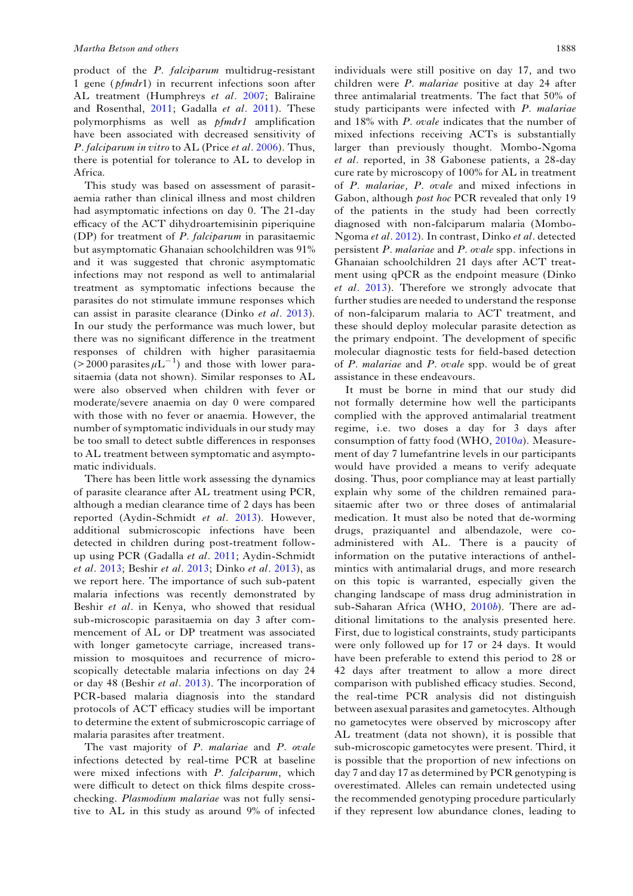product of the P. falciparum multidrug-resistant 1 gene ( $pfmdr1$ ) in recurrent infections soon after AL treatment (Humphreys et al. [2007](#page-10-0); Baliraine and Rosenthal, [2011](#page-9-0); Gadalla et al. [2011](#page-10-0)). These polymorphisms as well as *pfmdr1* amplification have been associated with decreased sensitivity of P. falciparum in vitro to AL (Price et al. [2006](#page-10-0)). Thus, there is potential for tolerance to AL to develop in Africa.

This study was based on assessment of parasitaemia rather than clinical illness and most children had asymptomatic infections on day 0. The 21-day efficacy of the ACT dihydroartemisinin piperiquine (DP) for treatment of P. falciparum in parasitaemic but asymptomatic Ghanaian schoolchildren was 91% and it was suggested that chronic asymptomatic infections may not respond as well to antimalarial treatment as symptomatic infections because the parasites do not stimulate immune responses which can assist in parasite clearance (Dinko et al. [2013\)](#page-9-0). In our study the performance was much lower, but there was no significant difference in the treatment responses of children with higher parasitaemia  $(> 2000 \text{ parasites } \mu L^{-1})$  and those with lower parasitaemia (data not shown). Similar responses to AL were also observed when children with fever or moderate/severe anaemia on day 0 were compared with those with no fever or anaemia. However, the number of symptomatic individuals in our study may be too small to detect subtle differences in responses to AL treatment between symptomatic and asymptomatic individuals.

There has been little work assessing the dynamics of parasite clearance after AL treatment using PCR, although a median clearance time of 2 days has been reported (Aydin-Schmidt et al. [2013\)](#page-9-0). However, additional submicroscopic infections have been detected in children during post-treatment followup using PCR (Gadalla et al. [2011;](#page-10-0) Aydin-Schmidt et al. [2013;](#page-9-0) Beshir et al. [2013;](#page-9-0) Dinko et al. [2013\)](#page-9-0), as we report here. The importance of such sub-patent malaria infections was recently demonstrated by Beshir et al. in Kenya, who showed that residual sub-microscopic parasitaemia on day 3 after commencement of AL or DP treatment was associated with longer gametocyte carriage, increased transmission to mosquitoes and recurrence of microscopically detectable malaria infections on day 24 or day 48 (Beshir et al. [2013](#page-9-0)). The incorporation of PCR-based malaria diagnosis into the standard protocols of ACT efficacy studies will be important to determine the extent of submicroscopic carriage of malaria parasites after treatment.

The vast majority of P. malariae and P. ovale infections detected by real-time PCR at baseline were mixed infections with P. falciparum, which were difficult to detect on thick films despite crosschecking. Plasmodium malariae was not fully sensitive to AL in this study as around 9% of infected

individuals were still positive on day 17, and two children were P. malariae positive at day 24 after three antimalarial treatments. The fact that 50% of study participants were infected with P. malariae and 18% with P. ovale indicates that the number of mixed infections receiving ACTs is substantially larger than previously thought. Mombo-Ngoma et al. reported, in 38 Gabonese patients, a 28-day cure rate by microscopy of 100% for AL in treatment of P. malariae, P. ovale and mixed infections in Gabon, although post hoc PCR revealed that only 19 of the patients in the study had been correctly diagnosed with non-falciparum malaria (Mombo-Ngoma et al. [2012](#page-10-0)). In contrast, Dinko et al. detected persistent P. malariae and P. ovale spp. infections in Ghanaian schoolchildren 21 days after ACT treatment using qPCR as the endpoint measure (Dinko et al. [2013](#page-9-0)). Therefore we strongly advocate that further studies are needed to understand the response of non-falciparum malaria to ACT treatment, and these should deploy molecular parasite detection as the primary endpoint. The development of specific molecular diagnostic tests for field-based detection of P. malariae and P. ovale spp. would be of great assistance in these endeavours.

It must be borne in mind that our study did not formally determine how well the participants complied with the approved antimalarial treatment regime, i.e. two doses a day for 3 days after consumption of fatty food (WHO, [2010](#page-10-0)a). Measurement of day 7 lumefantrine levels in our participants would have provided a means to verify adequate dosing. Thus, poor compliance may at least partially explain why some of the children remained parasitaemic after two or three doses of antimalarial medication. It must also be noted that de-worming drugs, praziquantel and albendazole, were coadministered with AL. There is a paucity of information on the putative interactions of anthelmintics with antimalarial drugs, and more research on this topic is warranted, especially given the changing landscape of mass drug administration in sub-Saharan Africa (WHO, [2010](#page-10-0)b). There are additional limitations to the analysis presented here. First, due to logistical constraints, study participants were only followed up for 17 or 24 days. It would have been preferable to extend this period to 28 or 42 days after treatment to allow a more direct comparison with published efficacy studies. Second, the real-time PCR analysis did not distinguish between asexual parasites and gametocytes. Although no gametocytes were observed by microscopy after AL treatment (data not shown), it is possible that sub-microscopic gametocytes were present. Third, it is possible that the proportion of new infections on day 7 and day 17 as determined by PCR genotyping is overestimated. Alleles can remain undetected using the recommended genotyping procedure particularly if they represent low abundance clones, leading to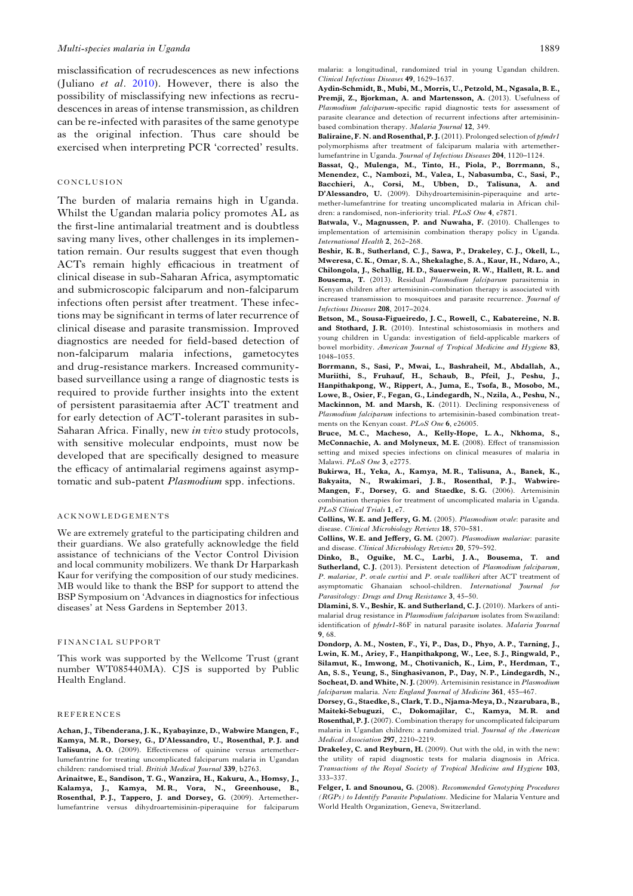<span id="page-9-0"></span>misclassification of recrudescences as new infections (Juliano et al. [2010](#page-10-0)). However, there is also the possibility of misclassifying new infections as recrudescences in areas of intense transmission, as children can be re-infected with parasites of the same genotype as the original infection. Thus care should be exercised when interpreting PCR 'corrected' results.

## CONCLUSION

The burden of malaria remains high in Uganda. Whilst the Ugandan malaria policy promotes AL as the first-line antimalarial treatment and is doubtless saving many lives, other challenges in its implementation remain. Our results suggest that even though ACTs remain highly efficacious in treatment of clinical disease in sub-Saharan Africa, asymptomatic and submicroscopic falciparum and non-falciparum infections often persist after treatment. These infections may be significant in terms of later recurrence of clinical disease and parasite transmission. Improved diagnostics are needed for field-based detection of non-falciparum malaria infections, gametocytes and drug-resistance markers. Increased communitybased surveillance using a range of diagnostic tests is required to provide further insights into the extent of persistent parasitaemia after ACT treatment and for early detection of ACT-tolerant parasites in sub-Saharan Africa. Finally, new in vivo study protocols, with sensitive molecular endpoints, must now be developed that are specifically designed to measure the efficacy of antimalarial regimens against asymptomatic and sub-patent Plasmodium spp. infections.

#### ACKNOWLEDGEMENTS

We are extremely grateful to the participating children and their guardians. We also gratefully acknowledge the field assistance of technicians of the Vector Control Division and local community mobilizers. We thank Dr Harparkash Kaur for verifying the composition of our study medicines. MB would like to thank the BSP for support to attend the BSP Symposium on 'Advances in diagnostics for infectious diseases' at Ness Gardens in September 2013.

#### FINANCIAL SUPPORT

This work was supported by the Wellcome Trust (grant number WT085440MA). CJS is supported by Public Health England.

#### REFERENCES

Achan, J., Tibenderana, J. K., Kyabayinze, D., Wabwire Mangen, F., Kamya, M. R., Dorsey, G., D'Alessandro, U., Rosenthal, P. J. and Talisuna, A.O. (2009). Effectiveness of quinine versus artemetherlumefantrine for treating uncomplicated falciparum malaria in Ugandan children: randomised trial. British Medical Journal 339, b2763.

Arinaitwe, E., Sandison, T. G., Wanzira, H., Kakuru, A., Homsy, J., Kalamya, J., Kamya, M. R., Vora, N., Greenhouse, B., Rosenthal, P.J., Tappero, J. and Dorsey, G. (2009). Artemetherlumefantrine versus dihydroartemisinin-piperaquine for falciparum malaria: a longitudinal, randomized trial in young Ugandan children. Clinical Infectious Diseases 49, 1629–1637.

Aydin-Schmidt, B., Mubi, M., Morris, U., Petzold, M., Ngasala, B. E., Premji, Z., Bjorkman, A. and Martensson, A. (2013). Usefulness of Plasmodium falciparum-specific rapid diagnostic tests for assessment of parasite clearance and detection of recurrent infections after artemisininbased combination therapy. Malaria Journal 12, 349.

Baliraine, F. N. and Rosenthal, P. J. (2011). Prolonged selection of pfmdr1 polymorphisms after treatment of falciparum malaria with artemetherlumefantrine in Uganda. Journal of Infectious Diseases 204, 1120–1124.

Bassat, Q., Mulenga, M., Tinto, H., Piola, P., Borrmann, S., Menendez, C., Nambozi, M., Valea, I., Nabasumba, C., Sasi, P., Bacchieri, A., Corsi, M., Ubben, D., Talisuna, A. and D'Alessandro, U. (2009). Dihydroartemisinin-piperaquine and artemether-lumefantrine for treating uncomplicated malaria in African children: a randomised, non-inferiority trial. PLoS One 4, e7871.

Batwala, V., Magnussen, P. and Nuwaha, F. (2010). Challenges to implementation of artemisinin combination therapy policy in Uganda. International Health 2, 262–268.

Beshir, K. B., Sutherland, C. J., Sawa, P., Drakeley, C. J., Okell, L., Mweresa, C. K., Omar, S. A., Shekalaghe, S. A., Kaur, H., Ndaro, A., Chilongola, J., Schallig, H. D., Sauerwein, R. W., Hallett, R. L. and Bousema, T. (2013). Residual Plasmodium falciparum parasitemia in Kenyan children after artemisinin-combination therapy is associated with increased transmission to mosquitoes and parasite recurrence. *Journal of* Infectious Diseases 208, 2017–2024.

Betson, M., Sousa-Figueiredo, J. C., Rowell, C., Kabatereine, N. B. and Stothard, J. R. (2010). Intestinal schistosomiasis in mothers and young children in Uganda: investigation of field-applicable markers of bowel morbidity. American Journal of Tropical Medicine and Hygiene 83, 1048–1055.

Borrmann, S., Sasi, P., Mwai, L., Bashraheil, M., Abdallah, A., Muriithi, S., Fruhauf, H., Schaub, B., Pfeil, J., Peshu, J., Hanpithakpong, W., Rippert, A., Juma, E., Tsofa, B., Mosobo, M., Lowe, B., Osier, F., Fegan, G., Lindegardh, N., Nzila, A., Peshu, N., Mackinnon, M. and Marsh, K. (2011). Declining responsiveness of Plasmodium falciparum infections to artemisinin-based combination treatments on the Kenyan coast. PLoS One 6, e26005.

Bruce, M. C., Macheso, A., Kelly-Hope, L. A., Nkhoma, S., McConnachie, A. and Molyneux, M. E. (2008). Effect of transmission setting and mixed species infections on clinical measures of malaria in Malawi. PLoS One 3, e2775.

Bukirwa, H., Yeka, A., Kamya, M. R., Talisuna, A., Banek, K., Bakyaita, N., Rwakimari, J. B., Rosenthal, P. J., Wabwire-Mangen, F., Dorsey, G. and Staedke, S.G. (2006). Artemisinin combination therapies for treatment of uncomplicated malaria in Uganda. PLoS Clinical Trials 1, e7.

Collins, W. E. and Jeffery, G. M. (2005). Plasmodium ovale: parasite and disease. Clinical Microbiology Reviews 18, 570–581.

Collins, W. E. and Jeffery, G. M. (2007). Plasmodium malariae: parasite and disease. Clinical Microbiology Reviews 20, 579–592.

Dinko, B., Oguike, M. C., Larbi, J. A., Bousema, T. and Sutherland, C.J. (2013). Persistent detection of Plasmodium falciparum, P. malariae, P. ovale curtisi and P. ovale wallikeri after ACT treatment of asymptomatic Ghanaian school-children. International Journal for Parasitology: Drugs and Drug Resistance 3, 45–50.

Dlamini, S. V., Beshir, K. and Sutherland, C. J. (2010). Markers of antimalarial drug resistance in Plasmodium falciparum isolates from Swaziland: identification of *pfmdr1-86F* in natural parasite isolates. *Malaria Journal* 9, 68.

Dondorp, A. M., Nosten, F., Yi, P., Das, D., Phyo, A. P., Tarning, J., Lwin, K. M., Ariey, F., Hanpithakpong, W., Lee, S. J., Ringwald, P., Silamut, K., Imwong, M., Chotivanich, K., Lim, P., Herdman, T., An, S. S., Yeung, S., Singhasivanon, P., Day, N. P., Lindegardh, N., Socheat, D. and White, N. J. (2009). Artemisinin resistance in Plasmodium falciparum malaria. New England Journal of Medicine 361, 455-467.

Dorsey, G., Staedke, S., Clark, T. D., Njama-Meya, D., Nzarubara, B., Maiteki-Sebuguzi, C., Dokomajilar, C., Kamya, M. R. and Rosenthal, P. J. (2007). Combination therapy for uncomplicated falciparum malaria in Ugandan children: a randomized trial. *Journal of the American* Medical Association 297, 2210–2219.

Drakeley, C. and Reyburn, H. (2009). Out with the old, in with the new: the utility of rapid diagnostic tests for malaria diagnosis in Africa. Transactions of the Royal Society of Tropical Medicine and Hygiene 103, 333–337.

Felger, I. and Snounou, G. (2008). Recommended Genotyping Procedures (RGPs) to Identify Parasite Populations. Medicine for Malaria Venture and World Health Organization, Geneva, Switzerland.